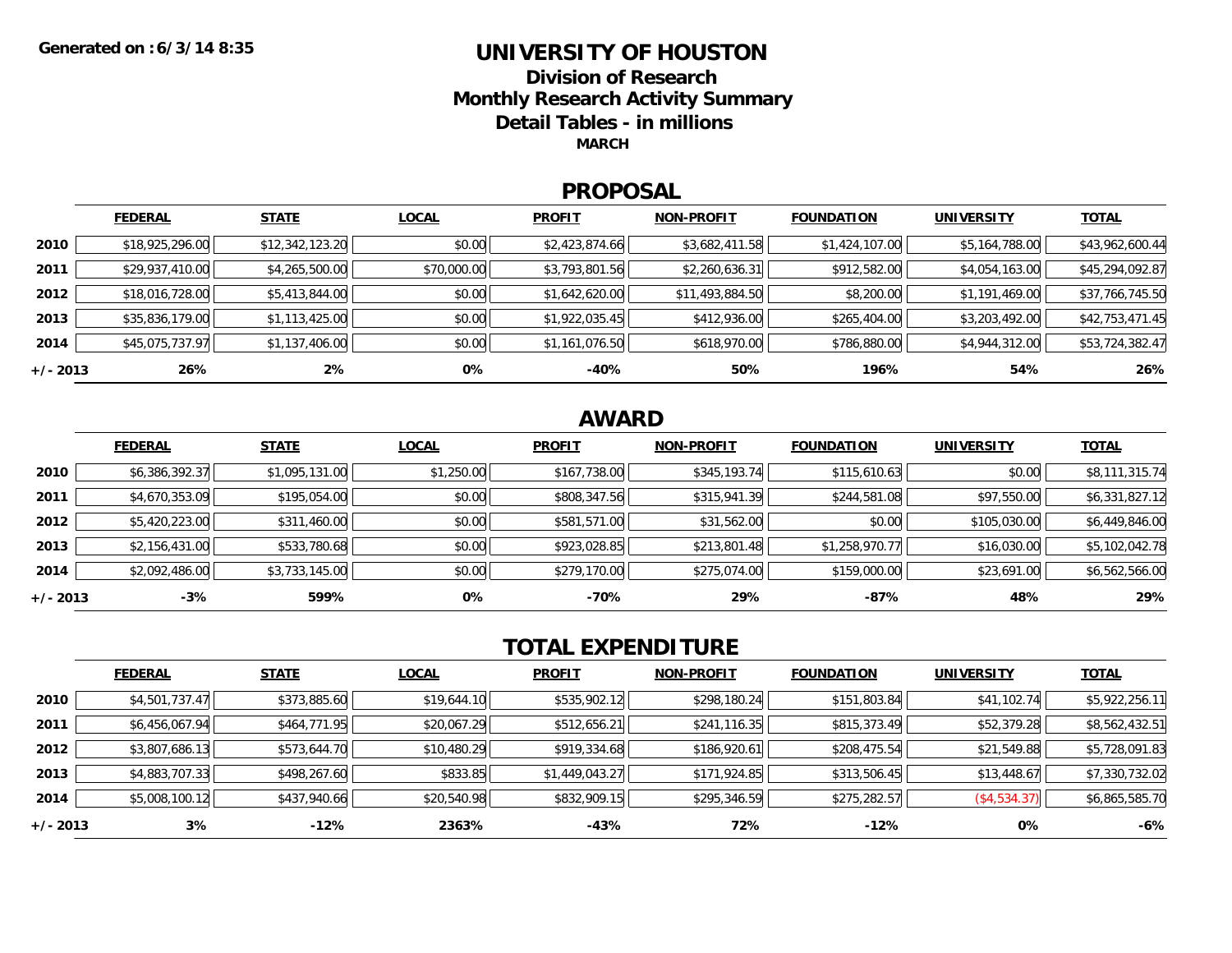# **UNIVERSITY OF HOUSTON**

**Division of ResearchMonthly Research Activity Summary Detail Tables - in millions MARCH**

#### **PROPOSAL**

|            | <b>FEDERAL</b>  | <b>STATE</b>    | <b>LOCAL</b> | <b>PROFIT</b>  | <b>NON-PROFIT</b> | <b>FOUNDATION</b> | <b>UNIVERSITY</b> | <b>TOTAL</b>    |
|------------|-----------------|-----------------|--------------|----------------|-------------------|-------------------|-------------------|-----------------|
| 2010       | \$18,925,296.00 | \$12,342,123.20 | \$0.00       | \$2,423,874.66 | \$3,682,411.58    | \$1,424,107.00    | \$5,164,788.00    | \$43,962,600.44 |
| 2011       | \$29,937,410.00 | \$4,265,500.00  | \$70,000.00  | \$3,793,801.56 | \$2,260,636.31    | \$912,582.00      | \$4,054,163.00    | \$45,294,092.87 |
| 2012       | \$18,016,728.00 | \$5,413,844.00  | \$0.00       | \$1,642,620.00 | \$11,493,884.50   | \$8,200.00        | \$1,191,469.00    | \$37,766,745.50 |
| 2013       | \$35,836,179.00 | \$1,113,425.00  | \$0.00       | \$1,922,035.45 | \$412,936.00      | \$265,404.00      | \$3,203,492.00    | \$42,753,471.45 |
| 2014       | \$45,075,737.97 | \$1,137,406.00  | \$0.00       | \$1,161,076.50 | \$618,970.00      | \$786,880.00      | \$4,944,312.00    | \$53,724,382.47 |
| $+/- 2013$ | 26%             | $2\%$           | 0%           | $-40%$         | 50%               | 196%              | 54%               | 26%             |

### **AWARD**

|          | <b>FEDERAL</b> | <b>STATE</b>   | <b>LOCAL</b> | <b>PROFIT</b> | <b>NON-PROFIT</b> | <b>FOUNDATION</b> | <b>UNIVERSITY</b> | <b>TOTAL</b>   |
|----------|----------------|----------------|--------------|---------------|-------------------|-------------------|-------------------|----------------|
| 2010     | \$6,386,392.37 | \$1,095,131.00 | \$1,250.00   | \$167,738.00  | \$345,193.74      | \$115,610.63      | \$0.00            | \$8,111,315.74 |
| 2011     | \$4,670,353.09 | \$195,054.00   | \$0.00       | \$808,347.56  | \$315,941.39      | \$244,581.08      | \$97,550.00       | \$6,331,827.12 |
| 2012     | \$5,420,223.00 | \$311,460.00   | \$0.00       | \$581,571.00  | \$31,562.00       | \$0.00            | \$105,030.00      | \$6,449,846.00 |
| 2013     | \$2,156,431.00 | \$533,780.68   | \$0.00       | \$923,028.85  | \$213,801.48      | \$1,258,970.77    | \$16,030.00       | \$5,102,042.78 |
| 2014     | \$2,092,486.00 | \$3,733,145.00 | \$0.00       | \$279,170.00  | \$275,074.00      | \$159,000.00      | \$23,691.00       | \$6,562,566.00 |
| +/- 2013 | $-3%$          | 599%           | 0%           | -70%          | 29%               | $-87%$            | 48%               | 29%            |

### **TOTAL EXPENDITURE**

|          | <b>FEDERAL</b> | <b>STATE</b> | <b>LOCAL</b> | <b>PROFIT</b>  | <b>NON-PROFIT</b> | <b>FOUNDATION</b> | <b>UNIVERSITY</b> | <b>TOTAL</b>   |
|----------|----------------|--------------|--------------|----------------|-------------------|-------------------|-------------------|----------------|
| 2010     | \$4,501,737.47 | \$373,885.60 | \$19,644.10  | \$535,902.12   | \$298,180.24      | \$151,803.84      | \$41,102.74       | \$5,922,256.11 |
| 2011     | \$6,456,067.94 | \$464,771.95 | \$20,067.29  | \$512,656.21   | \$241,116.35      | \$815,373.49      | \$52,379.28       | \$8,562,432.51 |
| 2012     | \$3,807,686.13 | \$573,644.70 | \$10,480.29  | \$919,334.68   | \$186,920.61      | \$208,475.54      | \$21,549.88       | \$5,728,091.83 |
| 2013     | \$4,883,707.33 | \$498,267.60 | \$833.85     | \$1,449,043.27 | \$171,924.85      | \$313,506.45      | \$13,448.67       | \$7,330,732.02 |
| 2014     | \$5,008,100.12 | \$437,940.66 | \$20,540.98  | \$832,909.15   | \$295,346.59      | \$275,282.57      | (\$4,534.37)      | \$6,865,585.70 |
| +/- 2013 | 3%             | $-12%$       | 2363%        | -43%           | 72%               | $-12%$            | 0%                | -6%            |